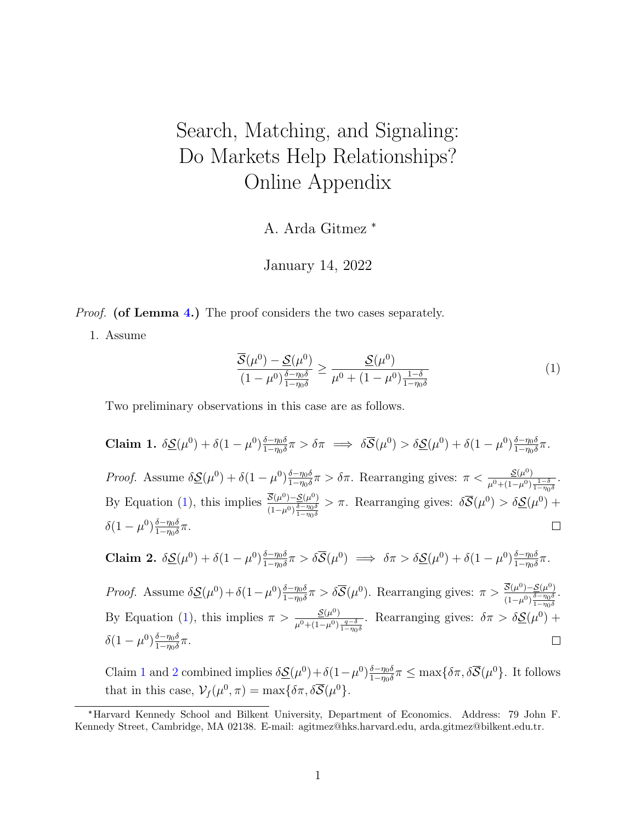## <span id="page-0-3"></span>Search, Matching, and Signaling: Do Markets Help Relationships? Online Appendix

A. Arda Gitmez \*

January 14, 2022

*Proof.* (of Lemma 4.) The proof considers the two cases separately.

1. Assume

<span id="page-0-2"></span> $\delta(1-\mu^0)\frac{\delta-\eta_0\delta}{1-\eta_0\delta}$ 

 $rac{\delta - \eta_0 \delta}{1 - \eta_0 \delta} \pi$ .

$$
\frac{\overline{S}(\mu^0) - \underline{S}(\mu^0)}{(1 - \mu^0)^{\frac{\delta - \eta_0 \delta}{1 - \eta_0 \delta}}} \ge \frac{\underline{S}(\mu^0)}{\mu^0 + (1 - \mu^0)^{\frac{1 - \delta}{1 - \eta_0 \delta}}}
$$
(1)

<span id="page-0-0"></span> $\Box$ 

Two preliminary observations in this case are as follows.

<span id="page-0-1"></span>Claim 1.  $\delta \mathcal{S}(\mu^0) + \delta(1-\mu^0) \frac{\delta - \eta_0 \delta}{1-\eta_0 \delta}$  $\frac{\delta - \eta_0 \delta}{1 - \eta_0 \delta} \pi > \delta \pi \implies \delta \overline{\mathcal{S}}(\mu^0) > \delta \underline{\mathcal{S}}(\mu^0) + \delta (1 - \mu^0) \frac{\delta - \eta_0 \delta}{1 - \eta_0 \delta}$  $rac{\delta - \eta_0 \delta}{1 - \eta_0 \delta} \pi$ .  $\frac{\delta - \eta_0 \delta}{1 - \eta_0 \delta} \pi > \delta \pi$ . Rearranging gives:  $\pi < \frac{\mathcal{S}(\mu^0)}{\mu^0 + (1 - \mu^0)}$ Proof. Assume  $\delta S(\mu^0) + \delta(1-\mu^0) \frac{\delta - \eta_0 \delta}{1-\eta_0 \delta}$ .  $\mu^{0}+(1-\mu^{0})\frac{1-\delta}{1-\eta_{0}\delta}$ By Equation [\(1\)](#page-0-0), this implies  $\frac{\overline{S}(\mu^0) - S(\mu^0)}{\mu^0}$  $> \pi$ . Rearranging gives:  $\delta \overline{S}(\mu^0) > \delta \underline{S}(\mu^0) +$  $\sqrt{(1-\mu^0)}\frac{\delta-\eta_0\delta}{1-\eta_0\delta}$  $\delta(1-\mu^0)\frac{\delta-\eta_0\delta}{1-\eta_0\delta}$  $rac{\delta - \eta_0 \delta}{1 - \eta_0 \delta} \pi$ .  $\Box$ Claim 2.  $\delta \mathcal{S}(\mu^0) + \delta (1-\mu^0) \frac{\delta - \eta_0 \delta}{1-\eta_0 \delta}$  $\frac{\delta-\eta_0\delta}{1-\eta_0\delta}\pi > \delta\overline{\mathcal{S}}(\mu^0) \implies \delta\pi > \delta\underline{\mathcal{S}}(\mu^0) + \delta(1-\mu^0)\frac{\delta-\eta_0\delta}{1-\eta_0\delta}$  $rac{\delta - \eta_0 \delta}{1 - \eta_0 \delta} \pi$ .  $\frac{\delta - \eta_0 \delta}{1 - \eta_0 \delta} \pi > \delta \overline{\mathcal{S}}(\mu^0)$ . Rearranging gives:  $\pi > \frac{\overline{\mathcal{S}}(\mu^0) - \mathcal{S}(\mu^0)}{(1 - \mu^0)^{\frac{\delta - \eta_0 \delta}{2}}$ Proof. Assume  $\delta \mathcal{S}(\mu^0) + \delta(1-\mu^0) \frac{\delta - \eta_0 \delta}{1-\eta_0 \delta}$ .  $\sqrt{(1-\mu^0)}\frac{\delta-\eta_0\delta}{1-\eta_0\delta}$ By Equation [\(1\)](#page-0-0), this implies  $\pi > \frac{\mathcal{S}(\mu^0)}{1-\mu^0}$ Rearranging gives:  $\delta \pi > \delta \mathcal{S}(\mu^0)$  +  $\mu^0+(1-\mu^0)\frac{q-\delta}{1-\eta_0\delta}$ 

Claim [1](#page-0-1) and [2](#page-0-2) combined implies  $\delta \mathcal{S}(\mu^0) + \delta (1-\mu^0) \frac{\delta - \eta_0 \delta}{1-\eta_0 \delta}$  $\frac{\delta - \eta_0 \delta}{1 - \eta_0 \delta} \pi \le \max\{\delta \pi, \delta \overline{\mathcal{S}}(\mu^0)\}.$  It follows that in this case,  $\mathcal{V}_f(\mu^0, \pi) = \max{\delta \pi, \delta \overline{\mathcal{S}}(\mu^0)}$ .

<sup>\*</sup>Harvard Kennedy School and Bilkent University, Department of Economics. Address: 79 John F. Kennedy Street, Cambridge, MA 02138. E-mail: agitmez@hks.harvard.edu, arda.gitmez@bilkent.edu.tr.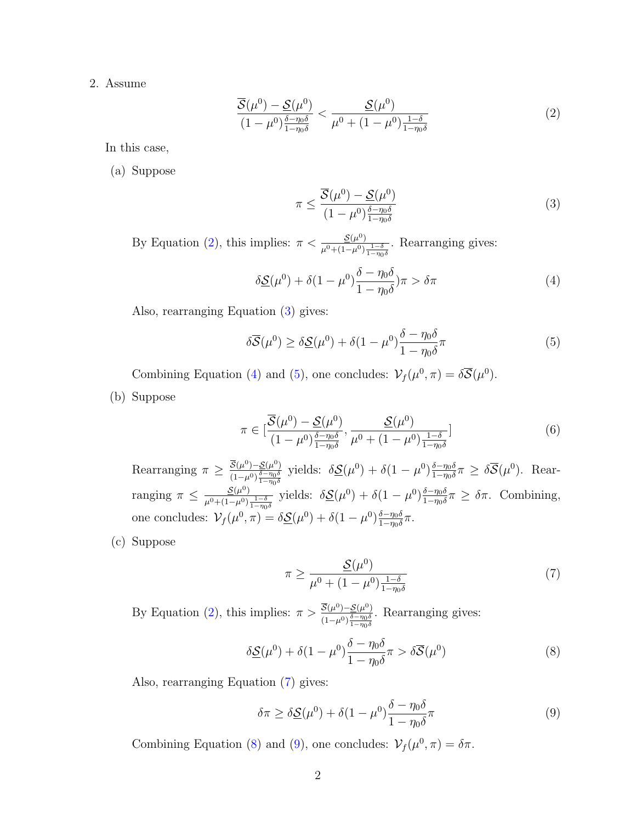2. Assume

$$
\frac{\overline{S}(\mu^0) - \underline{S}(\mu^0)}{(1 - \mu^0)^{\frac{\delta - \eta_0 \delta}{1 - \eta_0 \delta}}} < \frac{\underline{S}(\mu^0)}{\mu^0 + (1 - \mu^0)^{\frac{1 - \delta}{1 - \eta_0 \delta}}} \tag{2}
$$

In this case,

(a) Suppose

<span id="page-1-3"></span><span id="page-1-2"></span><span id="page-1-1"></span><span id="page-1-0"></span>
$$
\pi \le \frac{\overline{S}(\mu^0) - \underline{S}(\mu^0)}{(1 - \mu^0) \frac{\delta - \eta_0 \delta}{1 - \eta_0 \delta}}
$$
\n(3)

By Equation [\(2\)](#page-1-0), this implies:  $\pi < \frac{\mathcal{S}(\mu^0)}{1-\mu^0}$  $\overline{\mu^0+(1-\mu^0)\frac{1-\delta}{1-\eta_0\delta}}$ . Rearranging gives:

$$
\delta \underline{\mathcal{S}}(\mu^0) + \delta (1 - \mu^0) \frac{\delta - \eta_0 \delta}{1 - \eta_0 \delta} \pi > \delta \pi \tag{4}
$$

Also, rearranging Equation [\(3\)](#page-1-1) gives:

$$
\delta\overline{\mathcal{S}}(\mu^0) \ge \delta\underline{\mathcal{S}}(\mu^0) + \delta(1-\mu^0)\frac{\delta-\eta_0\delta}{1-\eta_0\delta}\pi\tag{5}
$$

Combining Equation [\(4\)](#page-1-2) and [\(5\)](#page-1-3), one concludes:  $\mathcal{V}_f(\mu^0, \pi) = \delta \overline{\mathcal{S}}(\mu^0)$ .

(b) Suppose

$$
\pi \in \left[\frac{\overline{\mathcal{S}}(\mu^0) - \underline{\mathcal{S}}(\mu^0)}{(1 - \mu^0) \frac{\delta - \eta_0 \delta}{1 - \eta_0 \delta}}, \frac{\underline{\mathcal{S}}(\mu^0)}{\mu^0 + (1 - \mu^0) \frac{1 - \delta}{1 - \eta_0 \delta}}\right]
$$
(6)

Rearranging  $\pi \geq \frac{\overline{S}(\mu^0) - S(\mu^0)}{\frac{1}{\sigma} - \eta_0 \delta}$  $\frac{\delta - \eta_0 \delta}{1 - \eta_0 \delta}$ yields:  $\delta \mathcal{S}(\mu^0) + \delta (1-\mu^0) \frac{\delta - \eta_0 \delta}{1-\eta_0 \delta}$  $\frac{\delta - \eta_0 \delta}{1 - \eta_0 \delta} \pi \geq \delta \overline{\mathcal{S}}(\mu^0)$ . Rearranging  $\pi \leq \frac{\mathcal{S}(\mu^0)}{n(1-\mu^0)}$  $\mu^{0}+(1-\mu^{0})\frac{1-\delta}{1-\eta_{0}\delta}$ yields:  $\delta \mathcal{S}(\mu^0) + \delta (1-\mu^0) \frac{\delta - \eta_0 \delta}{1-\eta_0 \delta}$  $\frac{\delta - \eta_0}{1 - \eta_0 \delta} \pi \geq \delta \pi$ . Combining, one concludes:  $V_f(\mu^0, \pi) = \delta \mathcal{S}(\mu^0) + \delta(1-\mu^0) \frac{\delta - \eta_0 \delta}{1-\eta_0 \delta}$  $rac{\delta - \eta_0 \delta}{1 - \eta_0 \delta} \pi$ .

(c) Suppose

<span id="page-1-5"></span><span id="page-1-4"></span>
$$
\pi \ge \frac{\underline{\mathcal{S}}(\mu^0)}{\mu^0 + (1 - \mu^0) \frac{1 - \delta}{1 - \eta_0 \delta}}\tag{7}
$$

By Equation [\(2\)](#page-1-0), this implies:  $\pi > \frac{\overline{S}(\mu^0) - S(\mu^0)}{\overline{S} - m_0 \overline{\delta}}$  $\sqrt{(1-\mu^0)}\frac{\delta-\eta_0\delta}{1-\eta_0\delta}$ . Rearranging gives:

$$
\delta \underline{\mathcal{S}}(\mu^0) + \delta (1 - \mu^0) \frac{\delta - \eta_0 \delta}{1 - \eta_0 \delta} \pi > \delta \overline{\mathcal{S}}(\mu^0)
$$
\n(8)

Also, rearranging Equation [\(7\)](#page-1-4) gives:

<span id="page-1-6"></span>
$$
\delta \pi \ge \delta \mathcal{S}(\mu^0) + \delta (1 - \mu^0) \frac{\delta - \eta_0 \delta}{1 - \eta_0 \delta} \pi \tag{9}
$$

Combining Equation [\(8\)](#page-1-5) and [\(9\)](#page-1-6), one concludes:  $\mathcal{V}_f(\mu^0, \pi) = \delta \pi$ .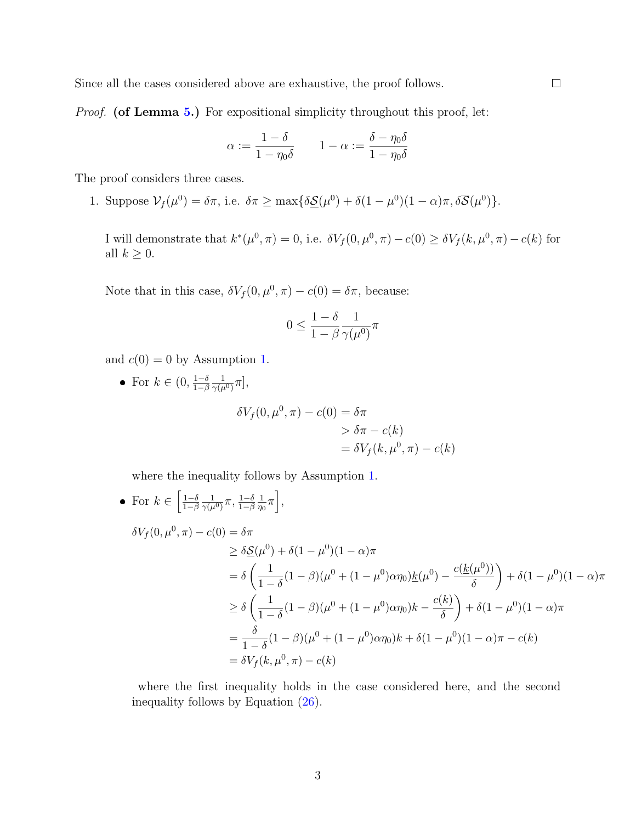Since all the cases considered above are exhaustive, the proof follows.

*Proof.* (of Lemma [5.](#page-0-3)) For expositional simplicity throughout this proof, let:

$$
\alpha := \frac{1 - \delta}{1 - \eta_0 \delta} \qquad 1 - \alpha := \frac{\delta - \eta_0 \delta}{1 - \eta_0 \delta}
$$

The proof considers three cases.

1. Suppose  $\mathcal{V}_f(\mu^0) = \delta \pi$ , i.e.  $\delta \pi \ge \max{\{\delta \underline{\mathcal{S}}(\mu^0) + \delta(1 - \mu^0)(1 - \alpha)\pi, \delta \overline{\mathcal{S}}(\mu^0)\}}$ .

I will demonstrate that  $k^*(\mu^0, \pi) = 0$ , i.e.  $\delta V_f(0, \mu^0, \pi) - c(0) \ge \delta V_f(k, \mu^0, \pi) - c(k)$  for all  $k \geq 0$ .

Note that in this case,  $\delta V_f(0, \mu^0, \pi) - c(0) = \delta \pi$ , because:

$$
0 \le \frac{1-\delta}{1-\beta} \frac{1}{\gamma(\mu^0)} \pi
$$

and  $c(0) = 0$  by Assumption [1.](#page-0-3)

• For  $k \in (0, \frac{1-\delta}{1-\beta})$  $1-\beta$ 1  $\frac{1}{\gamma(\mu^0)}\pi],$ 

$$
\delta V_f(0, \mu^0, \pi) - c(0) = \delta \pi
$$
  
> 
$$
\delta \pi - c(k)
$$
  
= 
$$
\delta V_f(k, \mu^0, \pi) - c(k)
$$

where the inequality follows by Assumption [1.](#page-0-3)

• For 
$$
k \in \left[\frac{1-\delta}{1-\beta} \frac{1}{\gamma(\mu^0)} \pi, \frac{1-\delta}{1-\beta} \frac{1}{\eta_0} \pi\right]
$$
,  
\n
$$
\delta V_f(0, \mu^0, \pi) - c(0) = \delta \pi
$$
\n
$$
\geq \delta \underline{\mathcal{S}}(\mu^0) + \delta (1 - \mu^0)(1 - \alpha) \pi
$$
\n
$$
= \delta \left(\frac{1}{1-\delta}(1-\beta)(\mu^0 + (1-\mu^0)\alpha \eta_0) \underline{k}(\mu^0) - \frac{c(\underline{k}(\mu^0))}{\delta}\right) + \delta (1-\mu^0)(1-\alpha) \pi
$$
\n
$$
\geq \delta \left(\frac{1}{1-\delta}(1-\beta)(\mu^0 + (1-\mu^0)\alpha \eta_0)k - \frac{c(k)}{\delta}\right) + \delta (1-\mu^0)(1-\alpha) \pi
$$
\n
$$
= \frac{\delta}{1-\delta}(1-\beta)(\mu^0 + (1-\mu^0)\alpha \eta_0)k + \delta (1-\mu^0)(1-\alpha) \pi - c(k)
$$
\n
$$
= \delta V_f(k, \mu^0, \pi) - c(k)
$$

where the first inequality holds in the case considered here, and the second inequality follows by Equation [\(26\)](#page-0-3).

 $\Box$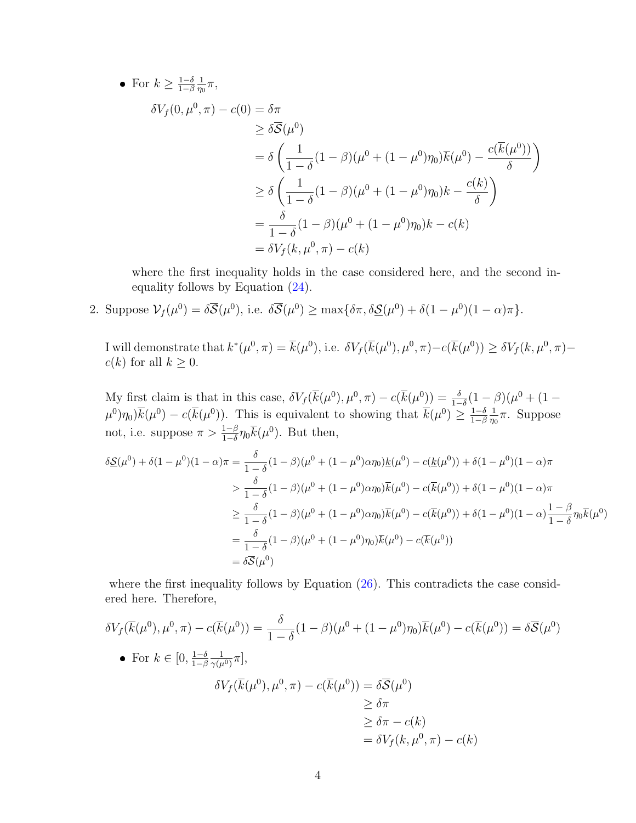• For  $k \geq \frac{1-\delta}{1-\beta}$  $1-\beta$ 1  $\frac{1}{\eta_0}\pi,$ 

$$
\delta V_f(0, \mu^0, \pi) - c(0) = \delta \pi
$$
  
\n
$$
\geq \delta \overline{S}(\mu^0)
$$
  
\n
$$
= \delta \left( \frac{1}{1 - \delta} (1 - \beta) (\mu^0 + (1 - \mu^0) \eta_0) \overline{k}(\mu^0) - \frac{c(\overline{k}(\mu^0))}{\delta} \right)
$$
  
\n
$$
\geq \delta \left( \frac{1}{1 - \delta} (1 - \beta) (\mu^0 + (1 - \mu^0) \eta_0) k - \frac{c(k)}{\delta} \right)
$$
  
\n
$$
= \frac{\delta}{1 - \delta} (1 - \beta) (\mu^0 + (1 - \mu^0) \eta_0) k - c(k)
$$
  
\n
$$
= \delta V_f(k, \mu^0, \pi) - c(k)
$$

where the first inequality holds in the case considered here, and the second inequality follows by Equation [\(24\)](#page-0-3).

2. Suppose  $\mathcal{V}_f(\mu^0) = \delta \overline{\mathcal{S}}(\mu^0)$ , i.e.  $\delta \overline{\mathcal{S}}(\mu^0) \ge \max{\delta \pi, \delta \underline{\mathcal{S}}(\mu^0) + \delta(1 - \mu^0)(1 - \alpha)\pi}.$ 

I will demonstrate that  $k^*(\mu^0, \pi) = \overline{k}(\mu^0)$ , i.e.  $\delta V_f(\overline{k}(\mu^0), \mu^0, \pi) - c(\overline{k}(\mu^0)) \ge \delta V_f(k, \mu^0, \pi) - c(k^2 - k^2)$  $c(k)$  for all  $k \geq 0$ .

My first claim is that in this case,  $\delta V_f(\bar{k}(\mu^0), \mu^0, \pi) - c(\bar{k}(\mu^0)) = \frac{\delta}{1-\delta}(1-\beta)(\mu^0 + (1-\mu^0)\sigma)$  $(\mu^0)\eta_0\bar{k}(\mu^0)-c(\bar{k}(\mu^0)).$  This is equivalent to showing that  $\bar{k}(\mu^0)\geq \frac{1-\delta}{1-\beta}$  $1-\beta$ 1  $\frac{1}{\eta_0}\pi$ . Suppose not, i.e. suppose  $\pi > \frac{1-\beta}{1-\delta} \eta_0 \overline{k}(\mu^0)$ . But then,

$$
\delta \underline{\mathcal{S}}(\mu^{0}) + \delta (1 - \mu^{0})(1 - \alpha)\pi = \frac{\delta}{1 - \delta}(1 - \beta)(\mu^{0} + (1 - \mu^{0})\alpha\eta_{0})\underline{k}(\mu^{0}) - c(\underline{k}(\mu^{0})) + \delta(1 - \mu^{0})(1 - \alpha)\pi
$$
  
\n
$$
> \frac{\delta}{1 - \delta}(1 - \beta)(\mu^{0} + (1 - \mu^{0})\alpha\eta_{0})\overline{k}(\mu^{0}) - c(\overline{k}(\mu^{0})) + \delta(1 - \mu^{0})(1 - \alpha)\pi
$$
  
\n
$$
\geq \frac{\delta}{1 - \delta}(1 - \beta)(\mu^{0} + (1 - \mu^{0})\alpha\eta_{0})\overline{k}(\mu^{0}) - c(\overline{k}(\mu^{0})) + \delta(1 - \mu^{0})(1 - \alpha)\frac{1 - \beta}{1 - \delta}\eta_{0}\overline{k}(\mu^{0})
$$
  
\n
$$
= \frac{\delta}{1 - \delta}(1 - \beta)(\mu^{0} + (1 - \mu^{0})\eta_{0})\overline{k}(\mu^{0}) - c(\overline{k}(\mu^{0}))
$$
  
\n
$$
= \delta\overline{\mathcal{S}}(\mu^{0})
$$

where the first inequality follows by Equation [\(26\)](#page-0-3). This contradicts the case considered here. Therefore,

$$
\delta V_f(\overline{k}(\mu^0), \mu^0, \pi) - c(\overline{k}(\mu^0)) = \frac{\delta}{1 - \delta} (1 - \beta)(\mu^0 + (1 - \mu^0)\eta_0)\overline{k}(\mu^0) - c(\overline{k}(\mu^0)) = \delta\overline{S}(\mu^0)
$$
  
\n• For  $k \in [0, \frac{1 - \delta}{1 - \beta} \frac{1}{\gamma(\mu^0)}\pi]$ ,  
\n
$$
\delta V_f(\overline{k}(\mu^0), \mu^0, \pi) - c(\overline{k}(\mu^0)) = \delta\overline{S}(\mu^0)
$$
\n
$$
\geq \delta\pi
$$
\n
$$
\geq \delta\pi - c(k)
$$
\n
$$
= \delta V_f(k, \mu^0, \pi) - c(k)
$$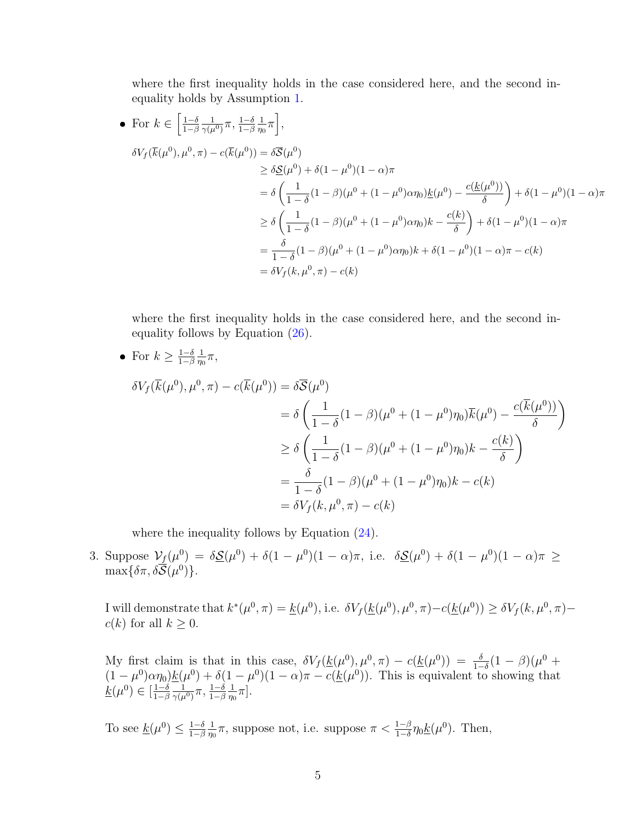where the first inequality holds in the case considered here, and the second inequality holds by Assumption [1.](#page-0-3)

• For 
$$
k \in \left[\frac{1-\delta}{1-\beta} \frac{1}{\gamma(\mu^0)} \pi, \frac{1-\delta}{1-\beta} \frac{1}{\eta_0} \pi\right]
$$
,  
\n
$$
\delta V_f(\overline{k}(\mu^0), \mu^0, \pi) - c(\overline{k}(\mu^0)) = \delta \overline{S}(\mu^0)
$$
\n
$$
\geq \delta \underline{S}(\mu^0) + \delta(1-\mu^0)(1-\alpha)\pi
$$
\n
$$
= \delta \left(\frac{1}{1-\delta}(1-\beta)(\mu^0 + (1-\mu^0)\alpha \eta_0) \underline{k}(\mu^0) - \frac{c(\underline{k}(\mu^0))}{\delta}\right) + \delta(1-\mu^0)(1-\alpha)\pi
$$
\n
$$
\geq \delta \left(\frac{1}{1-\delta}(1-\beta)(\mu^0 + (1-\mu^0)\alpha \eta_0)k - \frac{c(k)}{\delta}\right) + \delta(1-\mu^0)(1-\alpha)\pi
$$
\n
$$
= \frac{\delta}{1-\delta}(1-\beta)(\mu^0 + (1-\mu^0)\alpha \eta_0)k + \delta(1-\mu^0)(1-\alpha)\pi - c(k)
$$
\n
$$
= \delta V_f(k, \mu^0, \pi) - c(k)
$$

where the first inequality holds in the case considered here, and the second inequality follows by Equation [\(26\)](#page-0-3).

• For 
$$
k \ge \frac{1-\delta}{1-\beta} \frac{1}{\eta_0} \pi
$$
,  
\n
$$
\delta V_f(\overline{k}(\mu^0), \mu^0, \pi) - c(\overline{k}(\mu^0)) = \delta \overline{S}(\mu^0)
$$
\n
$$
= \delta \left( \frac{1}{1-\delta} (1-\beta)(\mu^0 + (1-\mu^0)\eta_0) \overline{k}(\mu^0) - \frac{c(\overline{k}(\mu^0))}{\delta} \right)
$$
\n
$$
\ge \delta \left( \frac{1}{1-\delta} (1-\beta)(\mu^0 + (1-\mu^0)\eta_0) k - \frac{c(k)}{\delta} \right)
$$
\n
$$
= \frac{\delta}{1-\delta} (1-\beta)(\mu^0 + (1-\mu^0)\eta_0) k - c(k)
$$
\n
$$
= \delta V_f(k, \mu^0, \pi) - c(k)
$$

where the inequality follows by Equation  $(24)$ .

3. Suppose  $\mathcal{V}_f(\mu^0) = \delta \underline{\mathcal{S}}(\mu^0) + \delta(1-\mu^0)(1-\alpha)\pi$ , i.e.  $\delta \underline{\mathcal{S}}(\mu^0) + \delta(1-\mu^0)(1-\alpha)\pi \geq$  $\max\{\delta\pi,\delta\overline{\mathcal{S}}(\mu^0)\}.$ 

I will demonstrate that  $k^*(\mu^0, \pi) = \underline{k}(\mu^0)$ , i.e.  $\delta V_f(\underline{k}(\mu^0), \mu^0, \pi) - c(\underline{k}(\mu^0)) \ge \delta V_f(k, \mu^0, \pi)$  $c(k)$  for all  $k \geq 0$ .

My first claim is that in this case,  $\delta V_f(\underline{k}(\mu^0), \mu^0, \pi) - c(\underline{k}(\mu^0)) = \frac{\delta}{1-\delta}(1-\beta)(\mu^0 +$  $(1 - \mu^0) \alpha \eta_0 \underline{k}(\mu^0) + \delta (1 - \mu^0)(1 - \alpha) \pi - c(\underline{k}(\mu^0))$ . This is equivalent to showing that  $\underline{k}(\mu^0) \in \left[\frac{1-\delta}{1-\beta}\right]$  $1-\beta$ 1  $\frac{1}{\gamma(\mu^0)}\pi, \frac{1-\delta}{1-\beta}$ 1  $\frac{1}{\eta_0}\pi].$ 

To see  $\underline{k}(\mu^0) \leq \frac{1-\delta}{1-\beta}$  $1-\beta$ 1  $\frac{1}{\eta_0}\pi$ , suppose not, i.e. suppose  $\pi < \frac{1-\beta}{1-\delta}\eta_0 \underline{k}(\mu^0)$ . Then,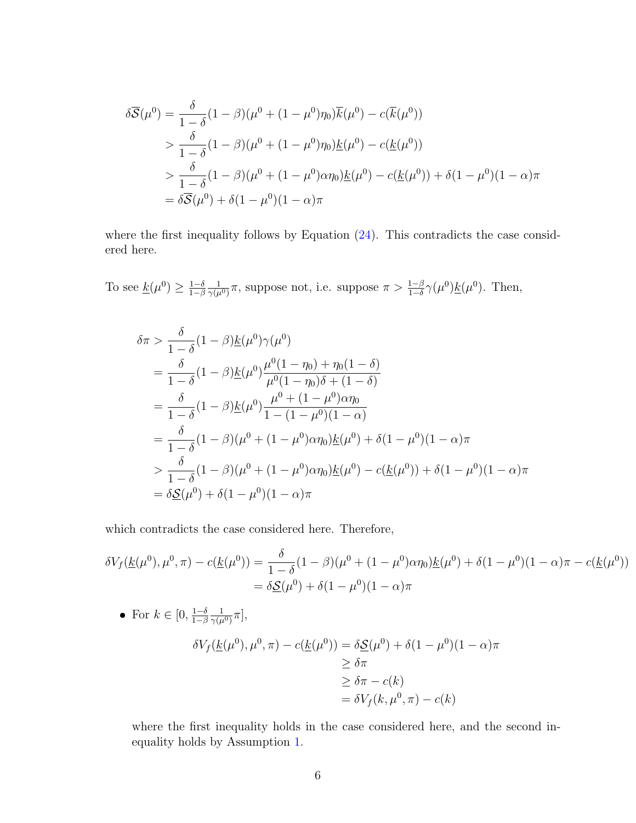$$
\delta\overline{S}(\mu^{0}) = \frac{\delta}{1-\delta}(1-\beta)(\mu^{0} + (1-\mu^{0})\eta_{0})\overline{k}(\mu^{0}) - c(\overline{k}(\mu^{0}))
$$
  
> 
$$
\frac{\delta}{1-\delta}(1-\beta)(\mu^{0} + (1-\mu^{0})\eta_{0})\underline{k}(\mu^{0}) - c(\underline{k}(\mu^{0}))
$$
  
> 
$$
\frac{\delta}{1-\delta}(1-\beta)(\mu^{0} + (1-\mu^{0})\alpha\eta_{0})\underline{k}(\mu^{0}) - c(\underline{k}(\mu^{0})) + \delta(1-\mu^{0})(1-\alpha)\pi
$$
  
= 
$$
\delta\overline{S}(\mu^{0}) + \delta(1-\mu^{0})(1-\alpha)\pi
$$

where the first inequality follows by Equation  $(24)$ . This contradicts the case considered here.

To see  $\underline{k}(\mu^0) \geq \frac{1-\delta}{1-\beta}$  $1-\beta$ 1  $\frac{1}{\gamma(\mu^0)}\pi$ , suppose not, i.e. suppose  $\pi > \frac{1-\beta}{1-\delta}\gamma(\mu^0)\underline{k}(\mu^0)$ . Then,

$$
\delta \pi > \frac{\delta}{1-\delta} (1-\beta) \underline{k}(\mu^0) \gamma(\mu^0)
$$
  
=  $\frac{\delta}{1-\delta} (1-\beta) \underline{k}(\mu^0) \frac{\mu^0 (1-\eta_0) + \eta_0 (1-\delta)}{\mu^0 (1-\eta_0)\delta + (1-\delta)}$   
=  $\frac{\delta}{1-\delta} (1-\beta) \underline{k}(\mu^0) \frac{\mu^0 + (1-\mu^0) \alpha \eta_0}{1-(1-\mu^0)(1-\alpha)}$   
=  $\frac{\delta}{1-\delta} (1-\beta) (\mu^0 + (1-\mu^0) \alpha \eta_0) \underline{k}(\mu^0) + \delta (1-\mu^0)(1-\alpha) \pi$   
 $\frac{\delta}{1-\delta} (1-\beta) (\mu^0 + (1-\mu^0) \alpha \eta_0) \underline{k}(\mu^0) - c(\underline{k}(\mu^0)) + \delta (1-\mu^0)(1-\alpha) \pi$   
=  $\delta \underline{S}(\mu^0) + \delta (1-\mu^0)(1-\alpha) \pi$ 

which contradicts the case considered here. Therefore,

$$
\delta V_f(\underline{k}(\mu^0), \mu^0, \pi) - c(\underline{k}(\mu^0)) = \frac{\delta}{1 - \delta} (1 - \beta)(\mu^0 + (1 - \mu^0)\alpha \eta_0) \underline{k}(\mu^0) + \delta(1 - \mu^0)(1 - \alpha)\pi - c(\underline{k}(\mu^0))
$$
  
=  $\delta \underline{S}(\mu^0) + \delta(1 - \mu^0)(1 - \alpha)\pi$ 

• For 
$$
k \in [0, \frac{1-\delta}{1-\beta} \frac{1}{\gamma(\mu^0)} \pi]
$$
,  
\n
$$
\delta V_f(\underline{k}(\mu^0), \mu^0, \pi) - c(\underline{k}(\mu^0)) = \delta \underline{S}(\mu^0) + \delta(1-\mu^0)(1-\alpha)\pi
$$
\n
$$
\geq \delta \pi
$$
\n
$$
\geq \delta \pi - c(k)
$$
\n
$$
= \delta V_f(k, \mu^0, \pi) - c(k)
$$

where the first inequality holds in the case considered here, and the second inequality holds by Assumption [1.](#page-0-3)